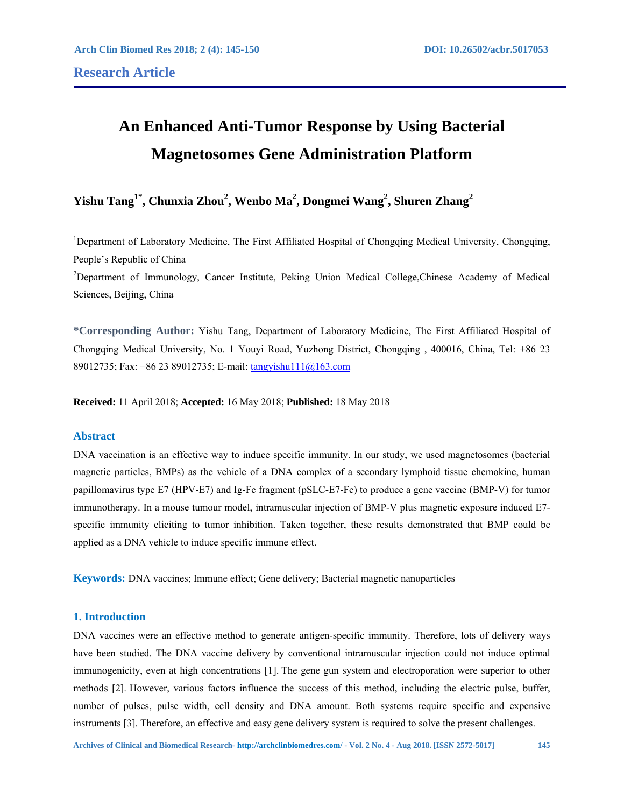# **An Enhanced Anti-Tumor Response by Using Bacterial Magnetosomes Gene Administration Platform**

# **Yishu Tang1\*, Chunxia Zhou2 , Wenbo Ma2 , Dongmei Wang2 , Shuren Zhang2**

<sup>1</sup>Department of Laboratory Medicine, The First Affiliated Hospital of Chongqing Medical University, Chongqing, People's Republic of China

<sup>2</sup>Department of Immunology, Cancer Institute, Peking Union Medical College, Chinese Academy of Medical Sciences, Beijing, China

**\*Corresponding Author:** Yishu Tang, Department of Laboratory Medicine, The First Affiliated Hospital of Chongqing Medical University, No. 1 Youyi Road, Yuzhong District, Chongqing , 400016, China, Tel: +86 23 89012735; Fax: +86 23 89012735; E-mail: tangyishu111@163.com

**Received:** 11 April 2018; **Accepted:** 16 May 2018; **Published:** 18 May 2018

#### **Abstract**

DNA vaccination is an effective way to induce specific immunity. In our study, we used magnetosomes (bacterial magnetic particles, BMPs) as the vehicle of a DNA complex of a secondary lymphoid tissue chemokine, human papillomavirus type E7 (HPV-E7) and Ig-Fc fragment (pSLC-E7-Fc) to produce a gene vaccine (BMP-V) for tumor immunotherapy. In a mouse tumour model, intramuscular injection of BMP-V plus magnetic exposure induced E7 specific immunity eliciting to tumor inhibition. Taken together, these results demonstrated that BMP could be applied as a DNA vehicle to induce specific immune effect.

**Keywords:** DNA vaccines; Immune effect; Gene delivery; Bacterial magnetic nanoparticles

# **1. Introduction**

DNA vaccines were an effective method to generate antigen-specific immunity. Therefore, lots of delivery ways have been studied. The DNA vaccine delivery by conventional intramuscular injection could not induce optimal immunogenicity, even at high concentrations [1]. The gene gun system and electroporation were superior to other methods [2]. However, various factors influence the success of this method, including the electric pulse, buffer, number of pulses, pulse width, cell density and DNA amount. Both systems require specific and expensive instruments [3]. Therefore, an effective and easy gene delivery system is required to solve the present challenges.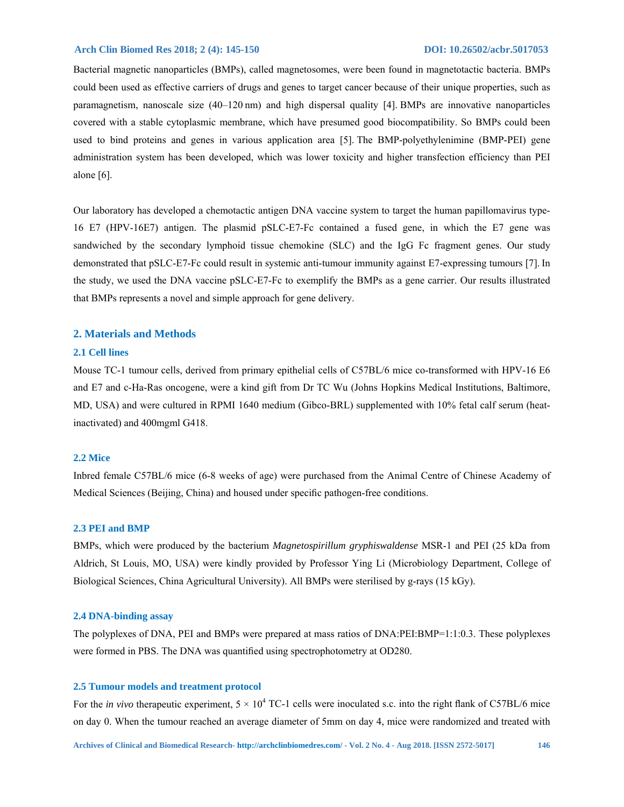Bacterial magnetic nanoparticles (BMPs), called magnetosomes, were been found in magnetotactic bacteria. BMPs could been used as effective carriers of drugs and genes to target cancer because of their unique properties, such as paramagnetism, nanoscale size (40–120 nm) and high dispersal quality [4]. BMPs are innovative nanoparticles covered with a stable cytoplasmic membrane, which have presumed good biocompatibility. So BMPs could been used to bind proteins and genes in various application area [5]. The BMP-polyethylenimine (BMP-PEI) gene administration system has been developed, which was lower toxicity and higher transfection efficiency than PEI alone [6].

Our laboratory has developed a chemotactic antigen DNA vaccine system to target the human papillomavirus type-16 E7 (HPV-16E7) antigen. The plasmid pSLC-E7-Fc contained a fused gene, in which the E7 gene was sandwiched by the secondary lymphoid tissue chemokine (SLC) and the IgG Fc fragment genes. Our study demonstrated that pSLC-E7-Fc could result in systemic anti-tumour immunity against E7-expressing tumours [7]. In the study, we used the DNA vaccine pSLC-E7-Fc to exemplify the BMPs as a gene carrier. Our results illustrated that BMPs represents a novel and simple approach for gene delivery.

#### **2. Materials and Methods**

# **2.1 Cell lines**

Mouse TC-1 tumour cells, derived from primary epithelial cells of C57BL/6 mice co-transformed with HPV-16 E6 and E7 and c-Ha-Ras oncogene, were a kind gift from Dr TC Wu (Johns Hopkins Medical Institutions, Baltimore, MD, USA) and were cultured in RPMI 1640 medium (Gibco-BRL) supplemented with 10% fetal calf serum (heatinactivated) and 400mgml G418.

#### **2.2 Mice**

Inbred female C57BL/6 mice (6-8 weeks of age) were purchased from the Animal Centre of Chinese Academy of Medical Sciences (Beijing, China) and housed under specific pathogen-free conditions.

#### **2.3 PEI and BMP**

BMPs, which were produced by the bacterium *Magnetospirillum gryphiswaldense* MSR-1 and PEI (25 kDa from Aldrich, St Louis, MO, USA) were kindly provided by Professor Ying Li (Microbiology Department, College of Biological Sciences, China Agricultural University). All BMPs were sterilised by g-rays (15 kGy).

# **2.4 DNA-binding assay**

The polyplexes of DNA, PEI and BMPs were prepared at mass ratios of DNA:PEI:BMP=1:1:0.3. These polyplexes were formed in PBS. The DNA was quantified using spectrophotometry at OD280.

#### **2.5 Tumour models and treatment protocol**

For the *in vivo* therapeutic experiment,  $5 \times 10^4$  TC-1 cells were inoculated s.c. into the right flank of C57BL/6 mice on day 0. When the tumour reached an average diameter of 5mm on day 4, mice were randomized and treated with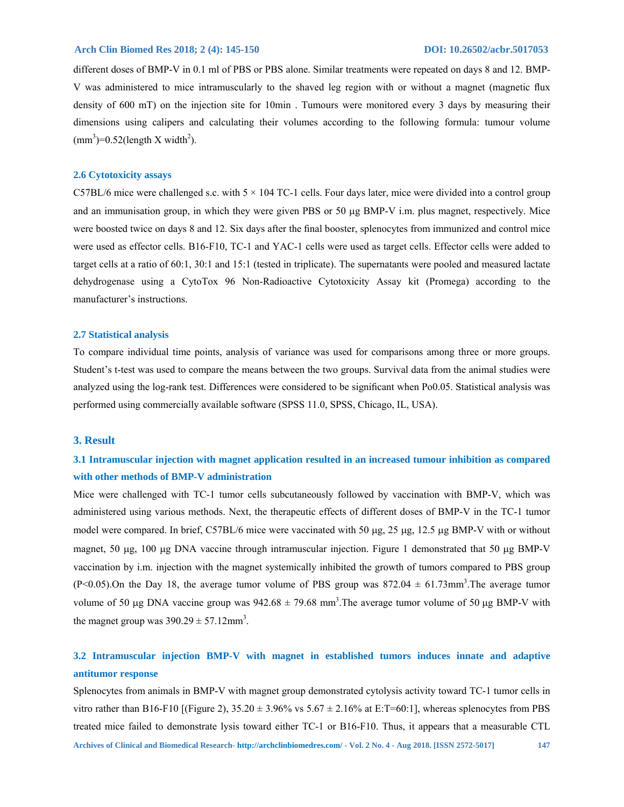different doses of BMP-V in 0.1 ml of PBS or PBS alone. Similar treatments were repeated on days 8 and 12. BMP-V was administered to mice intramuscularly to the shaved leg region with or without a magnet (magnetic flux density of 600 mT) on the injection site for 10min . Tumours were monitored every 3 days by measuring their dimensions using calipers and calculating their volumes according to the following formula: tumour volume  $\text{(mm}^3) = 0.52 \text{(length X width}^2).$ 

# **2.6 Cytotoxicity assays**

C57BL/6 mice were challenged s.c. with  $5 \times 104$  TC-1 cells. Four days later, mice were divided into a control group and an immunisation group, in which they were given PBS or 50  $\mu$ g BMP-V i.m. plus magnet, respectively. Mice were boosted twice on days 8 and 12. Six days after the final booster, splenocytes from immunized and control mice were used as effector cells. B16-F10, TC-1 and YAC-1 cells were used as target cells. Effector cells were added to target cells at a ratio of 60:1, 30:1 and 15:1 (tested in triplicate). The supernatants were pooled and measured lactate dehydrogenase using a CytoTox 96 Non-Radioactive Cytotoxicity Assay kit (Promega) according to the manufacturer's instructions.

#### **2.7 Statistical analysis**

To compare individual time points, analysis of variance was used for comparisons among three or more groups. Student's t-test was used to compare the means between the two groups. Survival data from the animal studies were analyzed using the log-rank test. Differences were considered to be significant when Po0.05. Statistical analysis was performed using commercially available software (SPSS 11.0, SPSS, Chicago, IL, USA).

#### **3. Result**

# **3.1 Intramuscular injection with magnet application resulted in an increased tumour inhibition as compared with other methods of BMP-V administration**

Mice were challenged with TC-1 tumor cells subcutaneously followed by vaccination with BMP-V, which was administered using various methods. Next, the therapeutic effects of different doses of BMP-V in the TC-1 tumor model were compared. In brief, C57BL/6 mice were vaccinated with 50  $\mu$ g, 25  $\mu$ g, 12.5  $\mu$ g BMP-V with or without magnet, 50  $\mu$ g, 100  $\mu$ g DNA vaccine through intramuscular injection. Figure 1 demonstrated that 50  $\mu$ g BMP-V vaccination by i.m. injection with the magnet systemically inhibited the growth of tumors compared to PBS group  $(P< 0.05)$ . On the Day 18, the average tumor volume of PBS group was 872.04  $\pm$  61.73mm<sup>3</sup>. The average tumor volume of 50 µg DNA vaccine group was  $942.68 \pm 79.68$  mm<sup>3</sup>. The average tumor volume of 50 µg BMP-V with the magnet group was  $390.29 \pm 57.12$  mm<sup>3</sup>.

# **3.2 Intramuscular injection BMP-V with magnet in established tumors induces innate and adaptive antitumor response**

Splenocytes from animals in BMP-V with magnet group demonstrated cytolysis activity toward TC-1 tumor cells in vitro rather than B16-F10 [(Figure 2),  $35.20 \pm 3.96\%$  vs  $5.67 \pm 2.16\%$  at E:T=60:1], whereas splenocytes from PBS treated mice failed to demonstrate lysis toward either TC-1 or B16-F10. Thus, it appears that a measurable CTL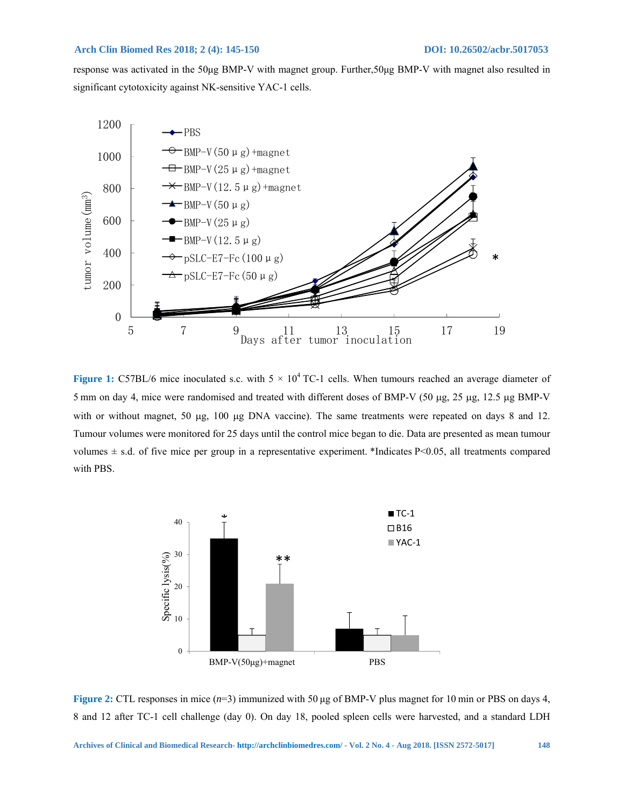response was activated in the 50μg BMP-V with magnet group. Further,50μg BMP-V with magnet also resulted in significant cytotoxicity against NK-sensitive YAC-1 cells.



**Figure 1:** C57BL/6 mice inoculated s.c. with  $5 \times 10^4$  TC-1 cells. When tumours reached an average diameter of 5 mm on day 4, mice were randomised and treated with different doses of BMP-V (50  $\mu$ g, 25  $\mu$ g, 12.5  $\mu$ g BMP-V with or without magnet, 50  $\mu$ g, 100  $\mu$ g DNA vaccine). The same treatments were repeated on days 8 and 12. Tumour volumes were monitored for 25 days until the control mice began to die. Data are presented as mean tumour volumes  $\pm$  s.d. of five mice per group in a representative experiment. \*Indicates P<0.05, all treatments compared with PBS.



**Figure 2:** CTL responses in mice (*n*=3) immunized with 50 μg of BMP-V plus magnet for 10 min or PBS on days 4, 8 and 12 after TC-1 cell challenge (day 0). On day 18, pooled spleen cells were harvested, and a standard LDH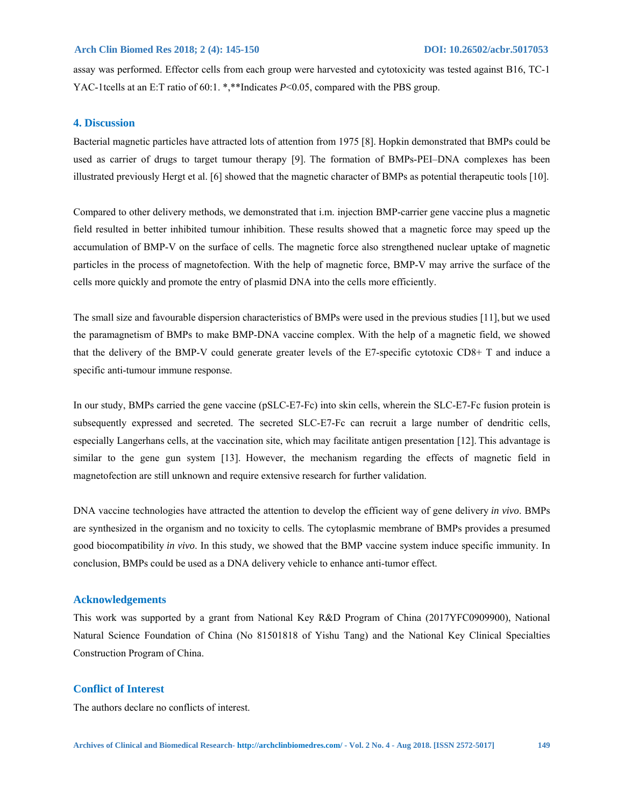assay was performed. Effector cells from each group were harvested and cytotoxicity was tested against B16, TC-1 YAC-1tcells at an E:T ratio of 60:1. \*,\*\*Indicates *P*<0.05, compared with the PBS group.

#### **4. Discussion**

Bacterial magnetic particles have attracted lots of attention from 1975 [8]. Hopkin demonstrated that BMPs could be used as carrier of drugs to target tumour therapy [9]. The formation of BMPs-PEI–DNA complexes has been illustrated previously Hergt et al. [6] showed that the magnetic character of BMPs as potential therapeutic tools [10].

Compared to other delivery methods, we demonstrated that i.m. injection BMP-carrier gene vaccine plus a magnetic field resulted in better inhibited tumour inhibition. These results showed that a magnetic force may speed up the accumulation of BMP-V on the surface of cells. The magnetic force also strengthened nuclear uptake of magnetic particles in the process of magnetofection. With the help of magnetic force, BMP-V may arrive the surface of the cells more quickly and promote the entry of plasmid DNA into the cells more efficiently.

The small size and favourable dispersion characteristics of BMPs were used in the previous studies [11], but we used the paramagnetism of BMPs to make BMP-DNA vaccine complex. With the help of a magnetic field, we showed that the delivery of the BMP-V could generate greater levels of the E7-specific cytotoxic CD8+ T and induce a specific anti-tumour immune response.

In our study, BMPs carried the gene vaccine (pSLC-E7-Fc) into skin cells, wherein the SLC-E7-Fc fusion protein is subsequently expressed and secreted. The secreted SLC-E7-Fc can recruit a large number of dendritic cells, especially Langerhans cells, at the vaccination site, which may facilitate antigen presentation [12]. This advantage is similar to the gene gun system [13]. However, the mechanism regarding the effects of magnetic field in magnetofection are still unknown and require extensive research for further validation.

DNA vaccine technologies have attracted the attention to develop the efficient way of gene delivery *in vivo*. BMPs are synthesized in the organism and no toxicity to cells. The cytoplasmic membrane of BMPs provides a presumed good biocompatibility *in vivo*. In this study, we showed that the BMP vaccine system induce specific immunity. In conclusion, BMPs could be used as a DNA delivery vehicle to enhance anti-tumor effect.

#### **Acknowledgements**

This work was supported by a grant from National Key R&D Program of China (2017YFC0909900), National Natural Science Foundation of China (No 81501818 of Yishu Tang) and the National Key Clinical Specialties Construction Program of China.

#### **Conflict of Interest**

The authors declare no conflicts of interest.